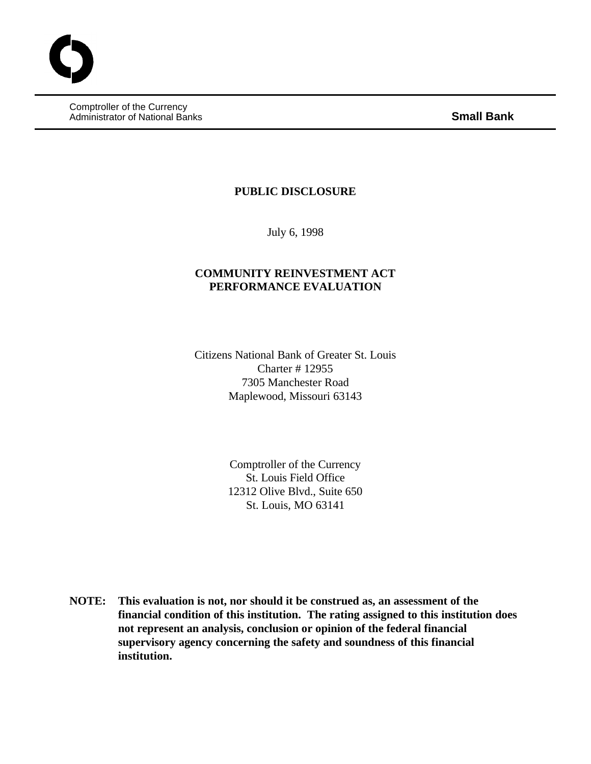Comptroller of the Currency Administrator of National Banks **Small Bank**

### **PUBLIC DISCLOSURE**

July 6, 1998

### **COMMUNITY REINVESTMENT ACT PERFORMANCE EVALUATION**

Citizens National Bank of Greater St. Louis Charter # 12955 7305 Manchester Road Maplewood, Missouri 63143

> Comptroller of the Currency St. Louis Field Office 12312 Olive Blvd., Suite 650 St. Louis, MO 63141

**NOTE: This evaluation is not, nor should it be construed as, an assessment of the financial condition of this institution. The rating assigned to this institution does not represent an analysis, conclusion or opinion of the federal financial supervisory agency concerning the safety and soundness of this financial institution.**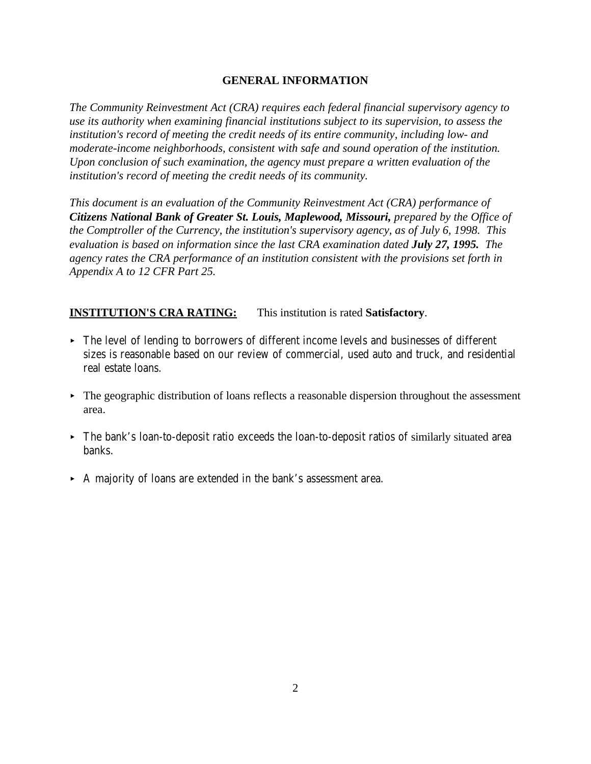### **GENERAL INFORMATION**

*The Community Reinvestment Act (CRA) requires each federal financial supervisory agency to use its authority when examining financial institutions subject to its supervision, to assess the institution's record of meeting the credit needs of its entire community, including low- and moderate-income neighborhoods, consistent with safe and sound operation of the institution. Upon conclusion of such examination, the agency must prepare a written evaluation of the institution's record of meeting the credit needs of its community.* 

*This document is an evaluation of the Community Reinvestment Act (CRA) performance of Citizens National Bank of Greater St. Louis, Maplewood, Missouri, prepared by the Office of the Comptroller of the Currency, the institution's supervisory agency, as of July 6, 1998. This evaluation is based on information since the last CRA examination dated <i>July 27, 1995. The agency rates the CRA performance of an institution consistent with the provisions set forth in Appendix A to 12 CFR Part 25.*

## **INSTITUTION'S CRA RATING:** This institution is rated **Satisfactory**.

- < The level of lending to borrowers of different income levels and businesses of different sizes is reasonable based on our review of commercial, used auto and truck, and residential real estate loans.
- $\triangleright$  The geographic distribution of loans reflects a reasonable dispersion throughout the assessment area.
- < The bank's loan-to-deposit ratio exceeds the loan-to-deposit ratios of similarly situated area banks.
- < A majority of loans are extended in the bank's assessment area.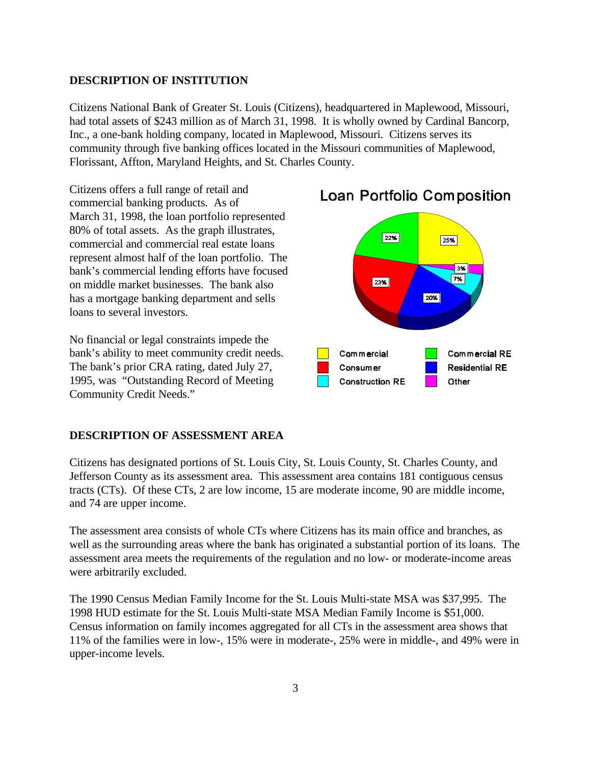#### **DESCRIPTION OF INSTITUTION**

Citizens National Bank of Greater St. Louis (Citizens), headquartered in Maplewood, Missouri, had total assets of \$243 million as of March 31, 1998. It is wholly owned by Cardinal Bancorp, Inc., a one-bank holding company, located in Maplewood, Missouri. Citizens serves its community through five banking offices located in the Missouri communities of Maplewood, Florissant, Affton, Maryland Heights, and St. Charles County.

Citizens offers a full range of retail and commercial banking products. As of March 31, 1998, the loan portfolio represented 80% of total assets. As the graph illustrates, commercial and commercial real estate loans represent almost half of the loan portfolio. The bank's commercial lending efforts have focused on middle market businesses. The bank also has a mortgage banking department and sells loans to several investors.

No financial or legal constraints impede the bank's ability to meet community credit needs. The bank's prior CRA rating, dated July 27, 1995, was "Outstanding Record of Meeting Community Credit Needs."

#### **DESCRIPTION OF ASSESSMENT AREA**

Citizens has designated portions of St. Louis City, St. Louis County, St. Charles County, and Jefferson County as its assessment area. This assessment area contains 181 contiguous census tracts (CTs). Of these CTs, 2 are low income, 15 are moderate income, 90 are middle income, and 74 are upper income.

The assessment area consists of whole CTs where Citizens has its main office and branches, as well as the surrounding areas where the bank has originated a substantial portion of its loans. The assessment area meets the requirements of the regulation and no low- or moderate-income areas were arbitrarily excluded.

The 1990 Census Median Family Income for the St. Louis Multi-state MSA was \$37,995. The 1998 HUD estimate for the St. Louis Multi-state MSA Median Family Income is \$51,000. Census information on family incomes aggregated for all CTs in the assessment area shows that 11% of the families were in low-, 15% were in moderate-, 25% were in middle-, and 49% were in upper-income levels.



# **Loan Portfolio Composition**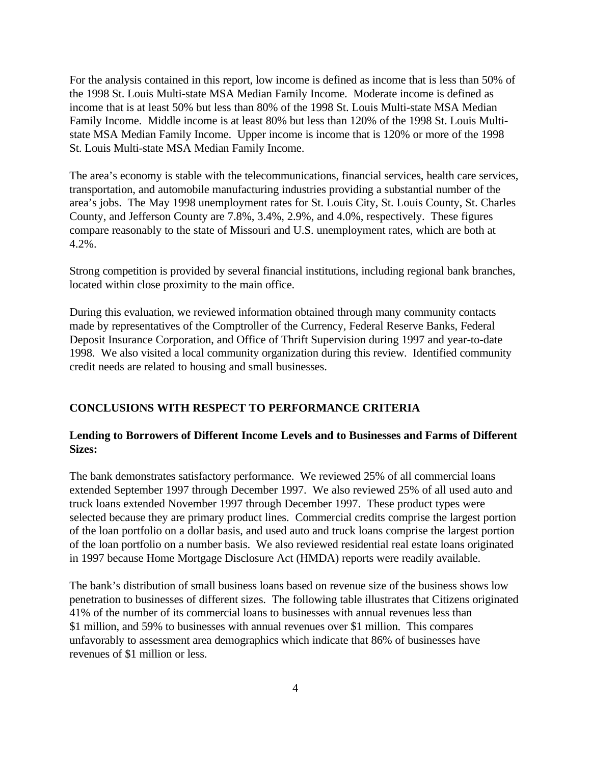For the analysis contained in this report, low income is defined as income that is less than 50% of the 1998 St. Louis Multi-state MSA Median Family Income. Moderate income is defined as income that is at least 50% but less than 80% of the 1998 St. Louis Multi-state MSA Median Family Income. Middle income is at least 80% but less than 120% of the 1998 St. Louis Multistate MSA Median Family Income. Upper income is income that is 120% or more of the 1998 St. Louis Multi-state MSA Median Family Income.

The area's economy is stable with the telecommunications, financial services, health care services, transportation, and automobile manufacturing industries providing a substantial number of the area's jobs. The May 1998 unemployment rates for St. Louis City, St. Louis County, St. Charles County, and Jefferson County are 7.8%, 3.4%, 2.9%, and 4.0%, respectively. These figures compare reasonably to the state of Missouri and U.S. unemployment rates, which are both at 4.2%.

Strong competition is provided by several financial institutions, including regional bank branches, located within close proximity to the main office.

During this evaluation, we reviewed information obtained through many community contacts made by representatives of the Comptroller of the Currency, Federal Reserve Banks, Federal Deposit Insurance Corporation, and Office of Thrift Supervision during 1997 and year-to-date 1998. We also visited a local community organization during this review. Identified community credit needs are related to housing and small businesses.

#### **CONCLUSIONS WITH RESPECT TO PERFORMANCE CRITERIA**

### **Lending to Borrowers of Different Income Levels and to Businesses and Farms of Different Sizes:**

The bank demonstrates satisfactory performance. We reviewed 25% of all commercial loans extended September 1997 through December 1997. We also reviewed 25% of all used auto and truck loans extended November 1997 through December 1997. These product types were selected because they are primary product lines. Commercial credits comprise the largest portion of the loan portfolio on a dollar basis, and used auto and truck loans comprise the largest portion of the loan portfolio on a number basis. We also reviewed residential real estate loans originated in 1997 because Home Mortgage Disclosure Act (HMDA) reports were readily available.

The bank's distribution of small business loans based on revenue size of the business shows low penetration to businesses of different sizes. The following table illustrates that Citizens originated 41% of the number of its commercial loans to businesses with annual revenues less than \$1 million, and 59% to businesses with annual revenues over \$1 million. This compares unfavorably to assessment area demographics which indicate that 86% of businesses have revenues of \$1 million or less.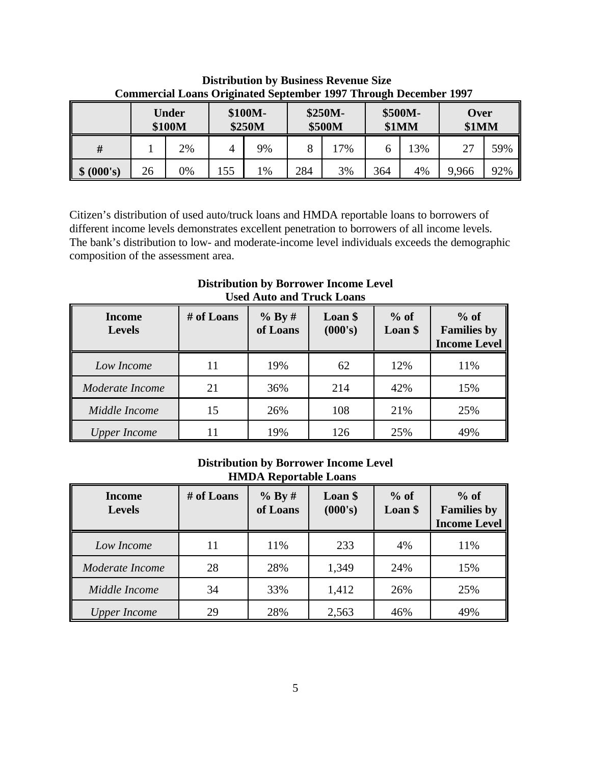|              | Under<br>\$100M |    | \$100M-<br>\$250M |       | \$250M-<br>\$500M |     | \$500M-<br>\$1MM |    | Over<br>\$1MM |     |
|--------------|-----------------|----|-------------------|-------|-------------------|-----|------------------|----|---------------|-----|
|              |                 | 2% | 4                 | 9%    |                   | 17% |                  | 3% | 27            | 59% |
| (000's)<br>Φ | 26              | 0% | 155               | $1\%$ | 284               | 3%  | 364              | 4% | 9,966         | 92% |

 **Distribution by Business Revenue Size Commercial Loans Originated September 1997 Through December 1997** 

Citizen's distribution of used auto/truck loans and HMDA reportable loans to borrowers of different income levels demonstrates excellent penetration to borrowers of all income levels. The bank's distribution to low- and moderate-income level individuals exceeds the demographic composition of the assessment area.

| <b>Income</b><br><b>Levels</b> | # of Loans | $%$ By #<br>of Loans | Loan \$<br>(000's) | $%$ of<br>Loan \$ | $%$ of<br><b>Families by</b><br><b>Income Level</b> |
|--------------------------------|------------|----------------------|--------------------|-------------------|-----------------------------------------------------|
| Low Income                     | 11         | 19%                  | 62                 | 12%               | 11%                                                 |
| Moderate Income                | 21         | 36%                  | 214                | 42%               | 15%                                                 |
| Middle Income                  | 15         | 26%                  | 108                | 21%               | 25%                                                 |
| <b>Upper Income</b>            | 11         | 19%                  | 126                | 25%               | 49%                                                 |

**Distribution by Borrower Income Level Used Auto and Truck Loans**

# **Distribution by Borrower Income Level HMDA Reportable Loans**

| <b>Income</b><br><b>Levels</b> | # of Loans | % By#<br>of Loans | Loan \$<br>(000's) | $%$ of<br>Loan \$ | $%$ of<br><b>Families by</b><br><b>Income Level</b> |
|--------------------------------|------------|-------------------|--------------------|-------------------|-----------------------------------------------------|
| Low Income                     | 11         | 11%               | 233                | 4%                | 11%                                                 |
| Moderate Income                | 28         | 28%               | 1,349              | 24%               | 15%                                                 |
| Middle Income                  | 34         | 33%               | 1,412              | 26%               | 25%                                                 |
| <b>Upper Income</b>            | 29         | 28%               | 2,563              | 46%               | 49%                                                 |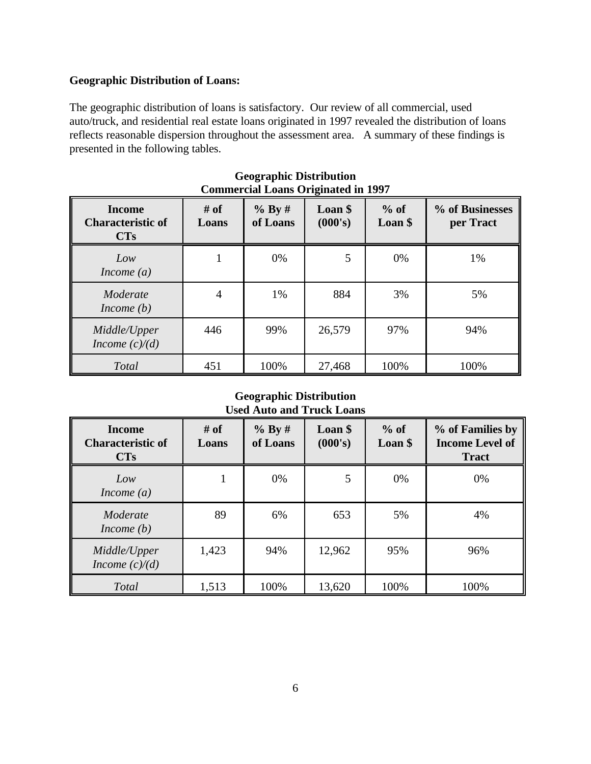# **Geographic Distribution of Loans:**

The geographic distribution of loans is satisfactory. Our review of all commercial, used auto/truck, and residential real estate loans originated in 1997 revealed the distribution of loans reflects reasonable dispersion throughout the assessment area.A summary of these findings is presented in the following tables.

| <b>Income</b><br><b>Characteristic of</b><br>CTs | $#$ of<br>Loans | % By #<br>of Loans | Loan \$<br>(000's) | $%$ of<br>Loan \$ | % of Businesses<br>per Tract |
|--------------------------------------------------|-----------------|--------------------|--------------------|-------------------|------------------------------|
| Low<br>Income $(a)$                              | 1               | 0%                 | 5                  | 0%                | 1%                           |
| Moderate<br>Income $(b)$                         | $\overline{4}$  | 1%                 | 884                | 3%                | 5%                           |
| Middle/Upper<br>Income $(c)/(d)$                 | 446             | 99%                | 26,579             | 97%               | 94%                          |
| Total                                            | 451             | 100%               | 27,468             | 100%              | 100%                         |

#### **Geographic Distribution Commercial Loans Originated in 1997**

### **Geographic Distribution Used Auto and Truck Loans**

| <b>Income</b><br><b>Characteristic of</b><br><b>CTs</b> | $#$ of<br>Loans | % By #<br>of Loans | Loan \$<br>(000's) | $%$ of<br>Loan \$ | % of Families by<br><b>Income Level of</b><br><b>Tract</b> |
|---------------------------------------------------------|-----------------|--------------------|--------------------|-------------------|------------------------------------------------------------|
| Low<br>Income $(a)$                                     |                 | 0%                 | 5                  | 0%                | 0%                                                         |
| Moderate<br>Income $(b)$                                | 89              | 6%                 | 653                | 5%                | 4%                                                         |
| Middle/Upper<br>Income $(c)/(d)$                        | 1,423           | 94%                | 12,962             | 95%               | 96%                                                        |
| Total                                                   | 1,513           | 100%               | 13,620             | 100%              | 100%                                                       |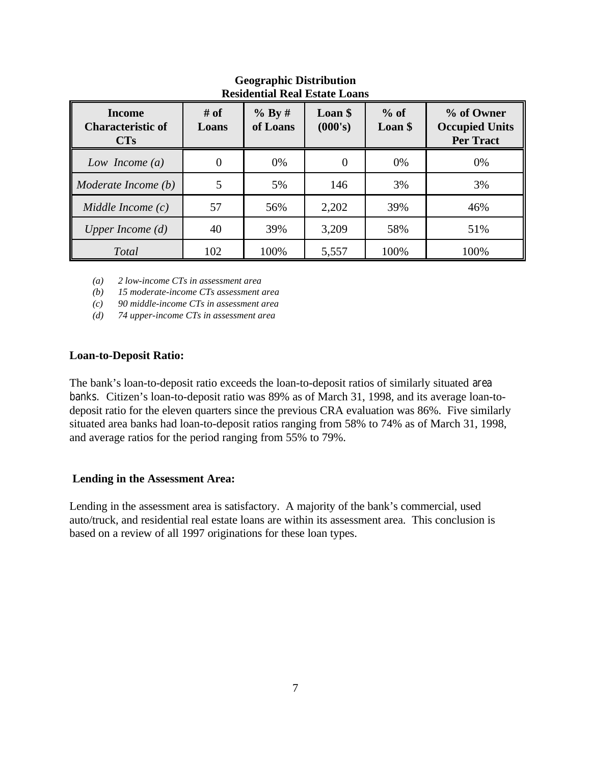| Residential Real Estate Loans                    |               |                      |                    |                   |                                                         |  |
|--------------------------------------------------|---------------|----------------------|--------------------|-------------------|---------------------------------------------------------|--|
| <b>Income</b><br><b>Characteristic of</b><br>CTs | # of<br>Loans | $%$ By #<br>of Loans | Loan \$<br>(000's) | $%$ of<br>Loan \$ | % of Owner<br><b>Occupied Units</b><br><b>Per Tract</b> |  |
| Low Income $(a)$                                 |               | 0%                   |                    | 0%                | 0%                                                      |  |
| Moderate Income (b)                              | 5             | 5%                   | 146                | 3%                | 3%                                                      |  |
| Middle Income $(c)$                              | 57            | 56%                  | 2,202              | 39%               | 46%                                                     |  |
| Upper Income $(d)$                               | 40            | 39%                  | 3,209              | 58%               | 51%                                                     |  |
| Total                                            | 102           | 100%                 | 5,557              | 100%              | 100%                                                    |  |

# **Geographic Distribution Residential Real Estate Loans**

*(a) 2 low-income CTs in assessment area*

 *(b) 15 moderate-income CTs assessment area*

 *(c) 90 middle-income CTs in assessment area*

 *(d) 74 upper-income CTs in assessment area*

### **Loan-to-Deposit Ratio:**

The bank's loan-to-deposit ratio exceeds the loan-to-deposit ratios of similarly situated area banks. Citizen's loan-to-deposit ratio was 89% as of March 31, 1998, and its average loan-todeposit ratio for the eleven quarters since the previous CRA evaluation was 86%. Five similarly situated area banks had loan-to-deposit ratios ranging from 58% to 74% as of March 31, 1998, and average ratios for the period ranging from 55% to 79%.

#### **Lending in the Assessment Area:**

Lending in the assessment area is satisfactory. A majority of the bank's commercial, used auto/truck, and residential real estate loans are within its assessment area. This conclusion is based on a review of all 1997 originations for these loan types.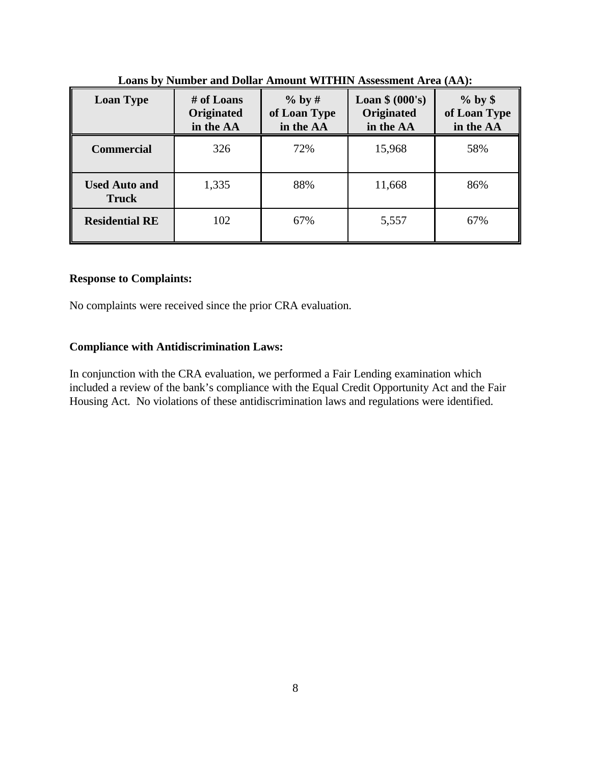| <b>Loan Type</b>                     | # of Loans<br>Originated<br>in the AA | $%$ by #<br>of Loan Type<br>in the AA | Loan $$ (000's)$<br><b>Originated</b><br>in the AA | $%$ by \$<br>of Loan Type<br>in the AA |
|--------------------------------------|---------------------------------------|---------------------------------------|----------------------------------------------------|----------------------------------------|
| <b>Commercial</b>                    | 326                                   | 72%                                   | 15,968                                             | 58%                                    |
| <b>Used Auto and</b><br><b>Truck</b> | 1,335                                 | 88%                                   | 11,668                                             | 86%                                    |
| <b>Residential RE</b>                | 102                                   | 67%                                   | 5,557                                              | 67%                                    |

**Loans by Number and Dollar Amount WITHIN Assessment Area (AA):**

### **Response to Complaints:**

No complaints were received since the prior CRA evaluation.

# **Compliance with Antidiscrimination Laws:**

In conjunction with the CRA evaluation, we performed a Fair Lending examination which included a review of the bank's compliance with the Equal Credit Opportunity Act and the Fair Housing Act. No violations of these antidiscrimination laws and regulations were identified.